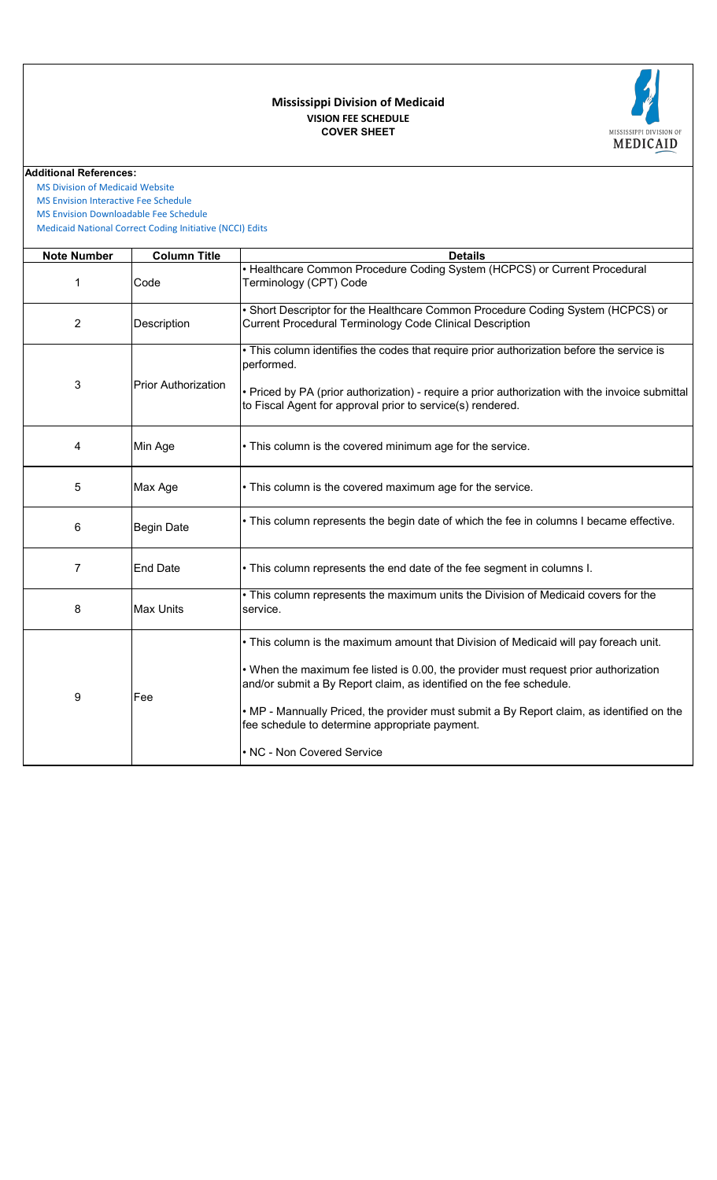# **COVER SHEET VISION FEE SCHEDULE Mississippi Division of Medicaid**



#### **Additional References:**

 [MS Division of Medicai](https://medicaid.ms.gov/)d Website

 [MS Envision Interactive](https://www.ms-medicaid.com/msenvision/feeScheduleInquiry.do) Fee Schedule

 [MS Envision Download](https://www.ms-medicaid.com/msenvision/AMA_ADA_licenseAgreement.do?strUrl=feeScheduleInquiry)able Fee Schedule

 [Medicaid National Corr](https://www.medicaid.gov/medicaid/program-integrity/national-correct-coding-initiative/medicaid-ncci-edit-files/index.html)ect Coding Initiative (NCCI) Edits

| <b>Note Number</b> | <b>Column Title</b>        | <b>Details</b>                                                                                                                                                                                                                                                                                                                                                                                                                   |
|--------------------|----------------------------|----------------------------------------------------------------------------------------------------------------------------------------------------------------------------------------------------------------------------------------------------------------------------------------------------------------------------------------------------------------------------------------------------------------------------------|
| 1                  | Code                       | • Healthcare Common Procedure Coding System (HCPCS) or Current Procedural<br>Terminology (CPT) Code                                                                                                                                                                                                                                                                                                                              |
| $\overline{c}$     | Description                | . Short Descriptor for the Healthcare Common Procedure Coding System (HCPCS) or<br><b>Current Procedural Terminology Code Clinical Description</b>                                                                                                                                                                                                                                                                               |
| 3                  | <b>Prior Authorization</b> | . This column identifies the codes that require prior authorization before the service is<br>performed.<br>• Priced by PA (prior authorization) - require a prior authorization with the invoice submittal<br>to Fiscal Agent for approval prior to service(s) rendered.                                                                                                                                                         |
| 4                  | Min Age                    | • This column is the covered minimum age for the service.                                                                                                                                                                                                                                                                                                                                                                        |
| 5                  | Max Age                    | • This column is the covered maximum age for the service.                                                                                                                                                                                                                                                                                                                                                                        |
| 6                  | <b>Begin Date</b>          | • This column represents the begin date of which the fee in columns I became effective.                                                                                                                                                                                                                                                                                                                                          |
| 7                  | <b>End Date</b>            | . This column represents the end date of the fee segment in columns I.                                                                                                                                                                                                                                                                                                                                                           |
| 8                  | <b>Max Units</b>           | . This column represents the maximum units the Division of Medicaid covers for the<br>service.                                                                                                                                                                                                                                                                                                                                   |
| 9                  | Fee                        | • This column is the maximum amount that Division of Medicaid will pay foreach unit.<br>• When the maximum fee listed is 0.00, the provider must request prior authorization<br>and/or submit a By Report claim, as identified on the fee schedule.<br>. MP - Mannually Priced, the provider must submit a By Report claim, as identified on the<br>fee schedule to determine appropriate payment.<br>• NC - Non Covered Service |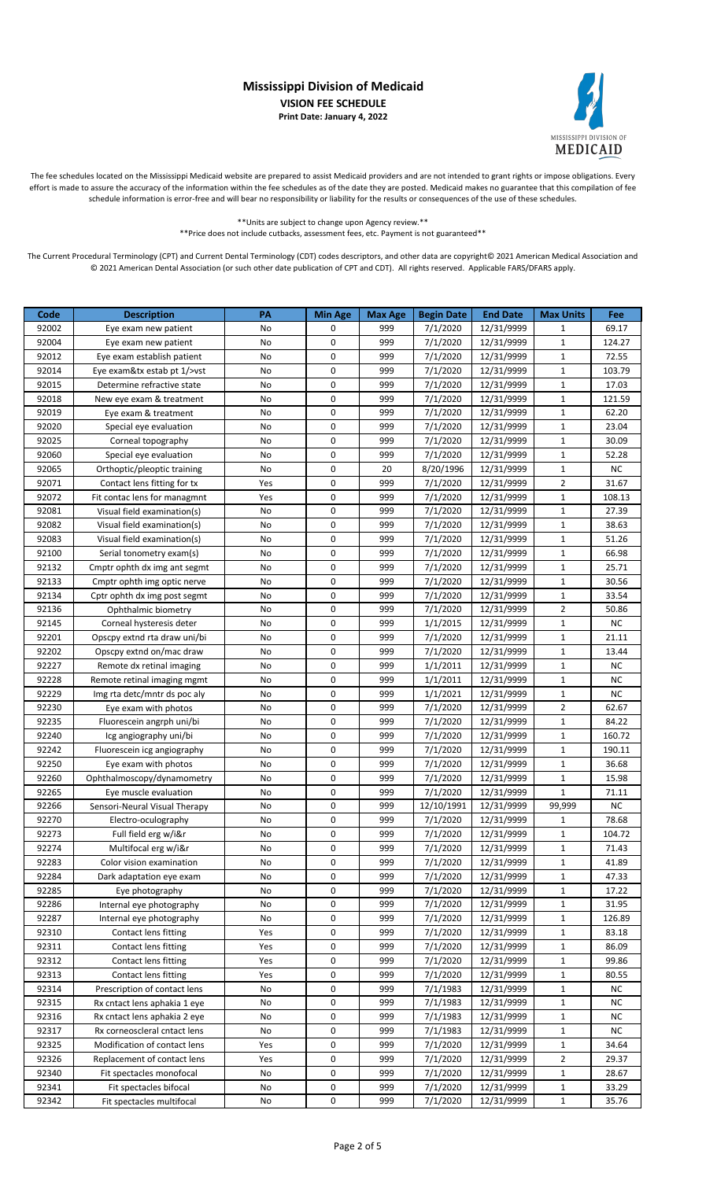

The fee schedules located on the Mississippi Medicaid website are prepared to assist Medicaid providers and are not intended to grant rights or impose obligations. Every effort is made to assure the accuracy of the information within the fee schedules as of the date they are posted. Medicaid makes no guarantee that this compilation of fee schedule information is error-free and will bear no responsibility or liability for the results or consequences of the use of these schedules.

> \*\*Units are subject to change upon Agency review.\*\* \*\*Price does not include cutbacks, assessment fees, etc. Payment is not guaranteed\*\*

| Code  | <b>Description</b>             | PA  | <b>Min Age</b> | <b>Max Age</b> | <b>Begin Date</b> | <b>End Date</b> | <b>Max Units</b> | Fee    |
|-------|--------------------------------|-----|----------------|----------------|-------------------|-----------------|------------------|--------|
| 92002 | Eye exam new patient           | No  | 0              | 999            | 7/1/2020          | 12/31/9999      | 1                | 69.17  |
| 92004 | Eye exam new patient           | No  | $\mathbf 0$    | 999            | 7/1/2020          | 12/31/9999      | $\mathbf{1}$     | 124.27 |
| 92012 | Eye exam establish patient     | No  | 0              | 999            | 7/1/2020          | 12/31/9999      | $\mathbf{1}$     | 72.55  |
| 92014 | Eye exam&tx estab pt $1$ />vst | No  | $\mathbf 0$    | 999            | 7/1/2020          | 12/31/9999      | $\mathbf{1}$     | 103.79 |
| 92015 | Determine refractive state     | No  | $\mathbf 0$    | 999            | 7/1/2020          | 12/31/9999      | $\mathbf{1}$     | 17.03  |
| 92018 | New eye exam & treatment       | No  | 0              | 999            | 7/1/2020          | 12/31/9999      | $\mathbf{1}$     | 121.59 |
| 92019 | Eye exam & treatment           | No  | 0              | 999            | 7/1/2020          | 12/31/9999      | $\mathbf{1}$     | 62.20  |
| 92020 | Special eye evaluation         | No  | $\mathbf 0$    | 999            | 7/1/2020          | 12/31/9999      | $\mathbf{1}$     | 23.04  |
| 92025 | Corneal topography             | No  | $\mathbf 0$    | 999            | 7/1/2020          | 12/31/9999      | $\mathbf{1}$     | 30.09  |
| 92060 | Special eye evaluation         | No  | $\mathbf 0$    | 999            | 7/1/2020          | 12/31/9999      | $\mathbf{1}$     | 52.28  |
| 92065 | Orthoptic/pleoptic training    | No  | $\mathbf 0$    | 20             | 8/20/1996         | 12/31/9999      | $\mathbf{1}$     | NC     |
| 92071 | Contact lens fitting for tx    | Yes | $\mathbf 0$    | 999            | 7/1/2020          | 12/31/9999      | $\overline{2}$   | 31.67  |
| 92072 | Fit contac lens for managmnt   | Yes | 0              | 999            | 7/1/2020          | 12/31/9999      | $\mathbf{1}$     | 108.13 |
| 92081 | Visual field examination(s)    | No  | $\mathbf 0$    | 999            | 7/1/2020          | 12/31/9999      | $\mathbf{1}$     | 27.39  |
| 92082 | Visual field examination(s)    | No  | $\mathbf 0$    | 999            | 7/1/2020          | 12/31/9999      | $\mathbf{1}$     | 38.63  |
| 92083 | Visual field examination(s)    | No  | $\mathbf 0$    | 999            | 7/1/2020          | 12/31/9999      | $\mathbf{1}$     | 51.26  |
| 92100 | Serial tonometry exam(s)       | No  | $\mathbf 0$    | 999            | 7/1/2020          | 12/31/9999      | $\mathbf{1}$     | 66.98  |
| 92132 | Cmptr ophth dx img ant segmt   | No  | $\mathbf 0$    | 999            | 7/1/2020          | 12/31/9999      | $\mathbf{1}$     | 25.71  |
| 92133 | Cmptr ophth img optic nerve    | No  | $\mathbf 0$    | 999            | 7/1/2020          | 12/31/9999      | $\mathbf{1}$     | 30.56  |
| 92134 | Cptr ophth dx img post segmt   | No  | 0              | 999            | 7/1/2020          | 12/31/9999      | $\mathbf{1}$     | 33.54  |
| 92136 | Ophthalmic biometry            | No  | $\mathbf 0$    | 999            | 7/1/2020          | 12/31/9999      | $\overline{2}$   | 50.86  |
| 92145 | Corneal hysteresis deter       | No  | $\mathbf 0$    | 999            | 1/1/2015          | 12/31/9999      | $\mathbf{1}$     | NC     |
| 92201 | Opscpy extnd rta draw uni/bi   | No  | $\mathbf 0$    | 999            | 7/1/2020          | 12/31/9999      | $\mathbf{1}$     | 21.11  |
| 92202 | Opscpy extnd on/mac draw       | No  | $\mathbf 0$    | 999            | 7/1/2020          | 12/31/9999      | $\mathbf{1}$     | 13.44  |
| 92227 | Remote dx retinal imaging      | No  | $\mathbf 0$    | 999            | 1/1/2011          | 12/31/9999      | $\mathbf{1}$     | NC     |
| 92228 | Remote retinal imaging mgmt    | No  | $\mathbf 0$    | 999            | 1/1/2011          | 12/31/9999      | $\mathbf{1}$     | ΝC     |
| 92229 | Img rta detc/mntr ds poc aly   | No  | 0              | 999            | 1/1/2021          | 12/31/9999      | $\mathbf{1}$     | ΝC     |
| 92230 | Eye exam with photos           | No  | $\mathbf 0$    | 999            | 7/1/2020          | 12/31/9999      | $\overline{2}$   | 62.67  |
| 92235 | Fluorescein angrph uni/bi      | No  | $\mathbf 0$    | 999            | 7/1/2020          | 12/31/9999      | $\mathbf{1}$     | 84.22  |
| 92240 | Icg angiography uni/bi         | No  | $\mathbf 0$    | 999            | 7/1/2020          | 12/31/9999      | $\mathbf{1}$     | 160.72 |
| 92242 | Fluorescein icg angiography    | No  | $\mathbf 0$    | 999            | 7/1/2020          | 12/31/9999      | $\mathbf{1}$     | 190.11 |
| 92250 | Eye exam with photos           | No  | $\mathbf 0$    | 999            | 7/1/2020          | 12/31/9999      | $\mathbf{1}$     | 36.68  |
| 92260 | Ophthalmoscopy/dynamometry     | No  | $\mathbf 0$    | 999            | 7/1/2020          | 12/31/9999      | $\mathbf{1}$     | 15.98  |
| 92265 | Eye muscle evaluation          | No  | 0              | 999            | 7/1/2020          | 12/31/9999      | $\mathbf{1}$     | 71.11  |
| 92266 | Sensori-Neural Visual Therapy  | No  | 0              | 999            | 12/10/1991        | 12/31/9999      | 99,999           | NC     |
| 92270 | Electro-oculography            | No  | $\mathbf 0$    | 999            | 7/1/2020          | 12/31/9999      | $\mathbf{1}$     | 78.68  |
| 92273 | Full field erg w/i&r           | No  | 0              | 999            | 7/1/2020          | 12/31/9999      | 1                | 104.72 |
| 92274 | Multifocal erg w/i&r           | No  | 0              | 999            | 7/1/2020          | 12/31/9999      | $\mathbf{1}$     | 71.43  |
| 92283 | Color vision examination       | No  | 0              | 999            | 7/1/2020          | 12/31/9999      | $\mathbf{1}$     | 41.89  |
| 92284 | Dark adaptation eye exam       | No  | 0              | 999            | 7/1/2020          | 12/31/9999      | $\mathbf{1}$     | 47.33  |
| 92285 | Eye photography                | No  | 0              | 999            | 7/1/2020          | 12/31/9999      | $\mathbf{1}$     | 17.22  |
| 92286 | Internal eye photography       | No  | 0              | 999            | 7/1/2020          | 12/31/9999      | $\mathbf{1}$     | 31.95  |
| 92287 | Internal eye photography       | No  | 0              | 999            | 7/1/2020          | 12/31/9999      | $\mathbf{1}$     | 126.89 |
| 92310 | Contact lens fitting           | Yes | 0              | 999            | 7/1/2020          | 12/31/9999      | $\mathbf{1}$     | 83.18  |
| 92311 | Contact lens fitting           | Yes | 0              | 999            | 7/1/2020          | 12/31/9999      | $\mathbf{1}$     | 86.09  |
| 92312 | Contact lens fitting           | Yes | 0              | 999            | 7/1/2020          | 12/31/9999      | $\mathbf{1}$     | 99.86  |
| 92313 | Contact lens fitting           | Yes | 0              | 999            | 7/1/2020          | 12/31/9999      | $\mathbf{1}$     | 80.55  |
| 92314 | Prescription of contact lens   | No  | 0              | 999            | 7/1/1983          | 12/31/9999      | $\mathbf{1}$     | ΝC     |
| 92315 | Rx cntact lens aphakia 1 eye   | No  | 0              | 999            | 7/1/1983          | 12/31/9999      | $\mathbf{1}$     | ΝC     |
| 92316 | Rx cntact lens aphakia 2 eye   | No  | 0              | 999            | 7/1/1983          | 12/31/9999      | $\mathbf{1}$     | NC     |
| 92317 | Rx corneoscleral cntact lens   | No  | 0              | 999            | 7/1/1983          | 12/31/9999      | $\mathbf{1}$     | NC     |
| 92325 | Modification of contact lens   | Yes | 0              | 999            | 7/1/2020          | 12/31/9999      | $\mathbf{1}$     | 34.64  |
| 92326 | Replacement of contact lens    | Yes | 0              | 999            | 7/1/2020          | 12/31/9999      | $\overline{2}$   | 29.37  |
| 92340 | Fit spectacles monofocal       | No  | 0              | 999            | 7/1/2020          | 12/31/9999      | $\mathbf{1}$     | 28.67  |
| 92341 | Fit spectacles bifocal         | No  | 0              | 999            | 7/1/2020          | 12/31/9999      | $\mathbf{1}$     | 33.29  |
| 92342 | Fit spectacles multifocal      | No  | 0              | 999            | 7/1/2020          | 12/31/9999      | $\mathbf{1}$     | 35.76  |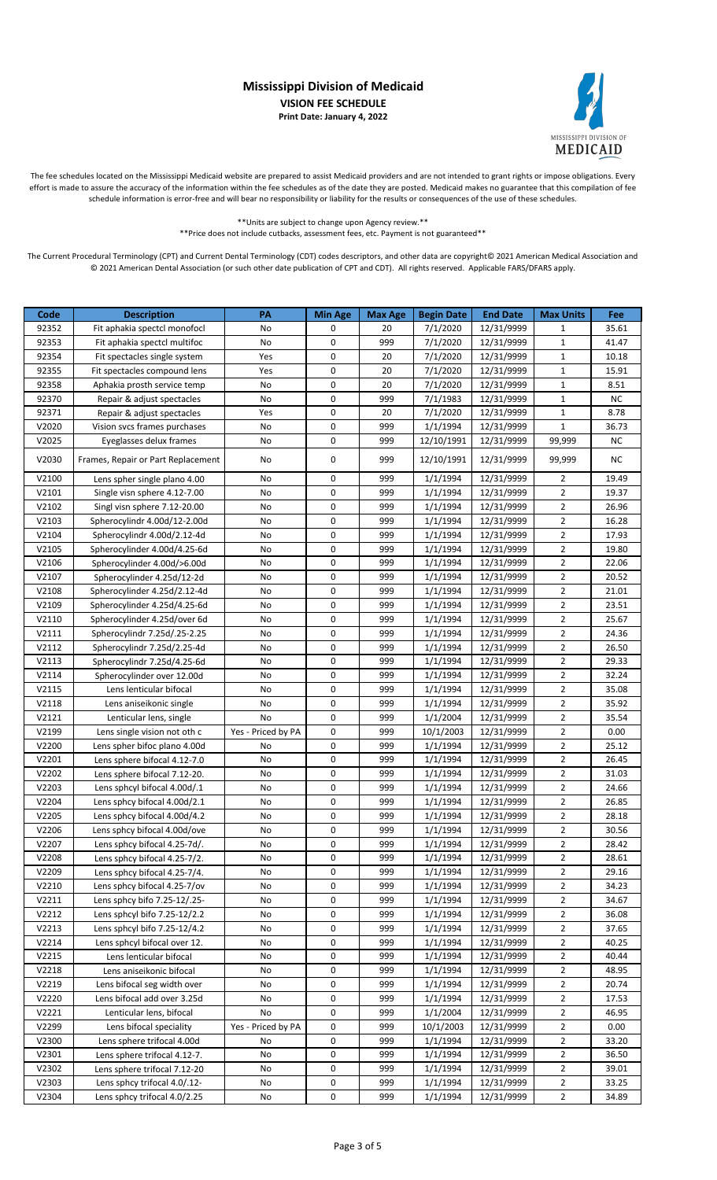

The fee schedules located on the Mississippi Medicaid website are prepared to assist Medicaid providers and are not intended to grant rights or impose obligations. Every effort is made to assure the accuracy of the information within the fee schedules as of the date they are posted. Medicaid makes no guarantee that this compilation of fee schedule information is error-free and will bear no responsibility or liability for the results or consequences of the use of these schedules.

> \*\*Units are subject to change upon Agency review.\*\* \*\*Price does not include cutbacks, assessment fees, etc. Payment is not guaranteed\*\*

| Code  | <b>Description</b>                 | PA                 | <b>Min Age</b> | <b>Max Age</b> | <b>Begin Date</b>              | <b>End Date</b> | <b>Max Units</b> | Fee       |
|-------|------------------------------------|--------------------|----------------|----------------|--------------------------------|-----------------|------------------|-----------|
| 92352 | Fit aphakia spectcl monofocl       | No                 | 0              | 20             | 7/1/2020                       | 12/31/9999      | $\mathbf{1}$     | 35.61     |
| 92353 | Fit aphakia spectcl multifoc       | No                 | 0              | 999            | 7/1/2020                       | 12/31/9999      | $\mathbf{1}$     | 41.47     |
| 92354 | Fit spectacles single system       | Yes                | 0              | 20             | 7/1/2020                       | 12/31/9999      | $\mathbf{1}$     | 10.18     |
| 92355 | Fit spectacles compound lens       | Yes                | 0              | 20             | 7/1/2020                       | 12/31/9999      | $\mathbf{1}$     | 15.91     |
| 92358 | Aphakia prosth service temp        | No                 | 0              | 20             | 7/1/2020                       | 12/31/9999      | $\mathbf{1}$     | 8.51      |
| 92370 | Repair & adjust spectacles         | No                 | 0              | 999            | 7/1/1983                       | 12/31/9999      | $\mathbf{1}$     | <b>NC</b> |
| 92371 | Repair & adjust spectacles         | Yes                | 0              | 20             | 7/1/2020                       | 12/31/9999      | $\mathbf{1}$     | 8.78      |
| V2020 | Vision svcs frames purchases       | No                 | 0              | 999            | 1/1/1994                       | 12/31/9999      | $\mathbf{1}$     | 36.73     |
| V2025 | Eyeglasses delux frames            | No                 | 0              | 999            | 12/10/1991                     | 12/31/9999      | 99,999           | <b>NC</b> |
| V2030 | Frames, Repair or Part Replacement | No                 | 0              | 999            | 12/10/1991                     | 12/31/9999      | 99,999           | NC.       |
| V2100 | Lens spher single plano 4.00       | No                 | 0              | 999            | 1/1/1994                       | 12/31/9999      | $\overline{2}$   | 19.49     |
| V2101 | Single visn sphere 4.12-7.00       | No                 | 0              | 999            | 1/1/1994                       | 12/31/9999      | $\overline{2}$   | 19.37     |
| V2102 | Singl visn sphere 7.12-20.00       | No                 | 0              | 999            | 1/1/1994                       | 12/31/9999      | $\overline{2}$   | 26.96     |
| V2103 | Spherocylindr 4.00d/12-2.00d       | No                 | 0              | 999            | 1/1/1994                       | 12/31/9999      | $\overline{2}$   | 16.28     |
| V2104 | Spherocylindr 4.00d/2.12-4d        | No                 | $\mathbf 0$    | 999            | 1/1/1994                       | 12/31/9999      | $\overline{2}$   | 17.93     |
| V2105 | Spherocylinder 4.00d/4.25-6d       | No                 | $\mathbf 0$    | 999            | 1/1/1994                       | 12/31/9999      | $\overline{2}$   | 19.80     |
| V2106 | Spherocylinder 4.00d/>6.00d        | No                 | 0              | 999            | 1/1/1994                       | 12/31/9999      | $\overline{2}$   | 22.06     |
| V2107 | Spherocylinder 4.25d/12-2d         | No                 | 0              | 999            | 1/1/1994                       | 12/31/9999      | $\overline{2}$   | 20.52     |
| V2108 | Spherocylinder 4.25d/2.12-4d       | No                 | 0              | 999            | 1/1/1994                       | 12/31/9999      | $\overline{2}$   | 21.01     |
| V2109 | Spherocylinder 4.25d/4.25-6d       | No                 | 0              | 999            | 1/1/1994                       | 12/31/9999      | $\overline{2}$   | 23.51     |
| V2110 | Spherocylinder 4.25d/over 6d       | No                 | 0              | 999            | 1/1/1994                       | 12/31/9999      | $\overline{2}$   | 25.67     |
| V2111 | Spherocylindr 7.25d/.25-2.25       | No                 | $\mathbf 0$    | 999            | 1/1/1994                       | 12/31/9999      | $\overline{2}$   | 24.36     |
| V2112 | Spherocylindr 7.25d/2.25-4d        | No                 | $\mathbf 0$    | 999            | 1/1/1994                       | 12/31/9999      | $\overline{2}$   | 26.50     |
| V2113 | Spherocylindr 7.25d/4.25-6d        | No                 | 0              | 999            | 1/1/1994                       | 12/31/9999      | $\overline{2}$   | 29.33     |
| V2114 | Spherocylinder over 12.00d         | No                 | 0              | 999            | 1/1/1994                       | 12/31/9999      | $\overline{2}$   | 32.24     |
| V2115 | Lens lenticular bifocal            | No                 | 0              | 999            | 1/1/1994                       | 12/31/9999      | $\overline{2}$   | 35.08     |
| V2118 | Lens aniseikonic single            | No                 | 0              | 999            | 1/1/1994                       | 12/31/9999      | $\overline{2}$   | 35.92     |
| V2121 | Lenticular lens, single            | No                 | 0              | 999            | 1/1/2004                       | 12/31/9999      | $\overline{2}$   | 35.54     |
| V2199 | Lens single vision not oth c       | Yes - Priced by PA | 0              | 999            | 10/1/2003                      | 12/31/9999      | $\overline{2}$   | 0.00      |
| V2200 | Lens spher bifoc plano 4.00d       | No                 | $\mathbf 0$    | 999            | 1/1/1994                       | 12/31/9999      | $\overline{2}$   | 25.12     |
| V2201 | Lens sphere bifocal 4.12-7.0       | No                 | 0              | 999            | 1/1/1994                       | 12/31/9999      | $\overline{2}$   | 26.45     |
| V2202 | Lens sphere bifocal 7.12-20.       | No                 | 0              | 999            | 1/1/1994                       | 12/31/9999      | $\overline{2}$   | 31.03     |
| V2203 | Lens sphcyl bifocal 4.00d/.1       | No                 | 0              | 999            | 1/1/1994                       | 12/31/9999      | $\overline{2}$   | 24.66     |
| V2204 | Lens sphcy bifocal 4.00d/2.1       | No                 | 0              | 999            | 1/1/1994                       | 12/31/9999      | $\overline{2}$   | 26.85     |
| V2205 | Lens sphcy bifocal 4.00d/4.2       | No                 | $\mathbf 0$    | 999            | 1/1/1994                       | 12/31/9999      | $\overline{2}$   | 28.18     |
| V2206 | Lens sphcy bifocal 4.00d/ove       | No                 | 0              | 999            | $\frac{1}{1}/1/\frac{1994}{1}$ | 12/31/9999      | $\overline{2}$   | 30.56     |
| V2207 | Lens sphcy bifocal 4.25-7d/.       | No                 | 0              | 999            | 1/1/1994                       | 12/31/9999      | $\overline{2}$   | 28.42     |
| V2208 | Lens sphcy bifocal 4.25-7/2.       | No                 | 0              | 999            | 1/1/1994                       | 12/31/9999      | $\overline{2}$   | 28.61     |
| V2209 | Lens sphcy bifocal 4.25-7/4.       | No                 | 0              | 999            | 1/1/1994                       | 12/31/9999      | $\overline{2}$   | 29.16     |
| V2210 | Lens sphcy bifocal 4.25-7/ov       | No                 | 0              | 999            | 1/1/1994                       | 12/31/9999      | $\overline{2}$   | 34.23     |
| V2211 | Lens sphcy bifo 7.25-12/.25-       | No                 | 0              | 999            | 1/1/1994                       | 12/31/9999      | $\overline{2}$   | 34.67     |
| V2212 | Lens sphcyl bifo 7.25-12/2.2       | No                 | 0              | 999            | 1/1/1994                       | 12/31/9999      | $\overline{2}$   | 36.08     |
| V2213 | Lens sphcyl bifo 7.25-12/4.2       | No                 | 0              | 999            | 1/1/1994                       | 12/31/9999      | $\overline{2}$   | 37.65     |
| V2214 | Lens sphcyl bifocal over 12.       | No                 | 0              | 999            | 1/1/1994                       | 12/31/9999      | $\overline{2}$   | 40.25     |
| V2215 | Lens lenticular bifocal            | No                 | 0              | 999            | 1/1/1994                       | 12/31/9999      | $\overline{2}$   | 40.44     |
| V2218 | Lens aniseikonic bifocal           | No                 | 0              | 999            | 1/1/1994                       | 12/31/9999      | $\overline{2}$   | 48.95     |
| V2219 | Lens bifocal seg width over        | No                 | 0              | 999            | 1/1/1994                       | 12/31/9999      | $\overline{2}$   | 20.74     |
| V2220 | Lens bifocal add over 3.25d        | No                 | 0              | 999            | 1/1/1994                       | 12/31/9999      | $\overline{2}$   | 17.53     |
| V2221 | Lenticular lens, bifocal           | No                 | 0              | 999            | 1/1/2004                       | 12/31/9999      | $\overline{2}$   | 46.95     |
| V2299 | Lens bifocal speciality            | Yes - Priced by PA | 0              | 999            | 10/1/2003                      | 12/31/9999      | $\overline{2}$   | 0.00      |
| V2300 | Lens sphere trifocal 4.00d         | No                 | 0              | 999            | 1/1/1994                       | 12/31/9999      | $\overline{2}$   | 33.20     |
| V2301 | Lens sphere trifocal 4.12-7.       | No                 | 0              | 999            | 1/1/1994                       | 12/31/9999      | $\overline{2}$   | 36.50     |
| V2302 | Lens sphere trifocal 7.12-20       | No                 | 0              | 999            | 1/1/1994                       | 12/31/9999      | $\overline{2}$   | 39.01     |
| V2303 | Lens sphcy trifocal 4.0/.12-       | No                 | 0              | 999            | 1/1/1994                       | 12/31/9999      | $\overline{2}$   | 33.25     |
| V2304 | Lens sphcy trifocal 4.0/2.25       | No                 | 0              | 999            | 1/1/1994                       | 12/31/9999      | $\overline{2}$   | 34.89     |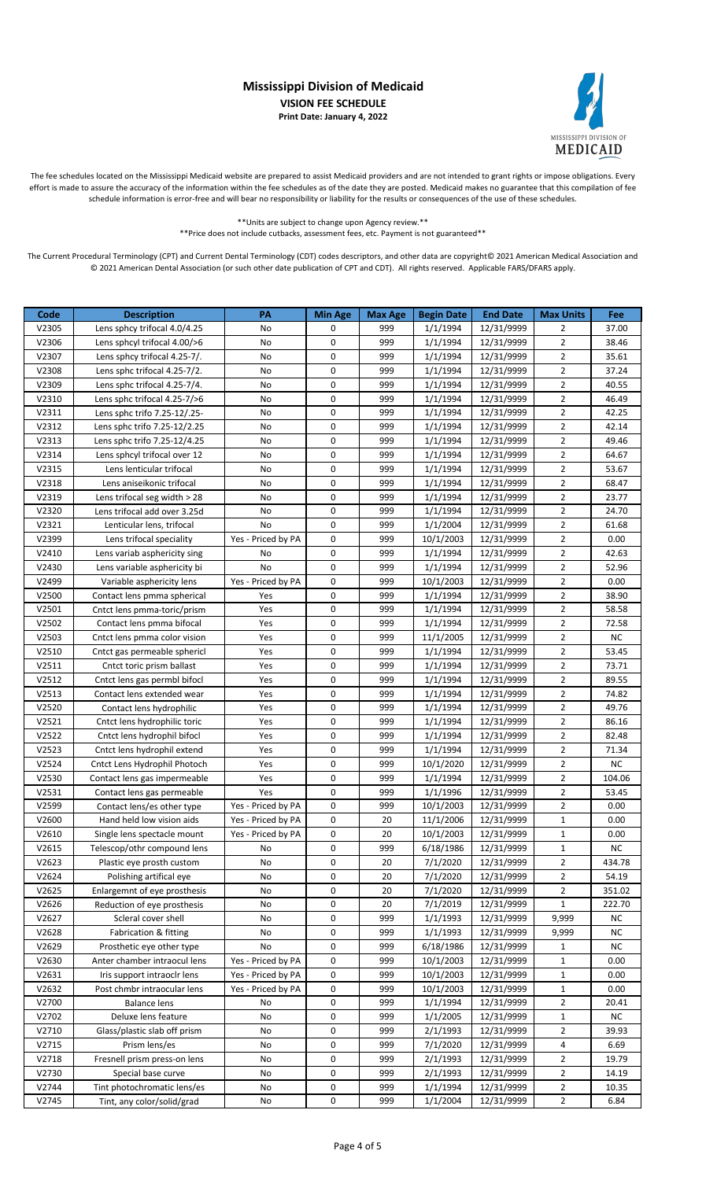

The fee schedules located on the Mississippi Medicaid website are prepared to assist Medicaid providers and are not intended to grant rights or impose obligations. Every effort is made to assure the accuracy of the information within the fee schedules as of the date they are posted. Medicaid makes no guarantee that this compilation of fee schedule information is error-free and will bear no responsibility or liability for the results or consequences of the use of these schedules.

> \*\*Units are subject to change upon Agency review.\*\* \*\*Price does not include cutbacks, assessment fees, etc. Payment is not guaranteed\*\*

| Code  | <b>Description</b>               | PA                 | <b>Min Age</b> | <b>Max Age</b> | <b>Begin Date</b> | <b>End Date</b> | <b>Max Units</b> | Fee       |
|-------|----------------------------------|--------------------|----------------|----------------|-------------------|-----------------|------------------|-----------|
| V2305 | Lens sphcy trifocal 4.0/4.25     | No                 | 0              | 999            | 1/1/1994          | 12/31/9999      | 2                | 37.00     |
| V2306 | Lens sphcyl trifocal 4.00/>6     | No                 | 0              | 999            | 1/1/1994          | 12/31/9999      | $\overline{2}$   | 38.46     |
| V2307 | Lens sphcy trifocal 4.25-7/.     | No                 | 0              | 999            | 1/1/1994          | 12/31/9999      | $\overline{2}$   | 35.61     |
| V2308 | Lens sphc trifocal 4.25-7/2.     | No                 | 0              | 999            | 1/1/1994          | 12/31/9999      | $\overline{2}$   | 37.24     |
| V2309 | Lens sphc trifocal 4.25-7/4.     | No                 | 0              | 999            | 1/1/1994          | 12/31/9999      | $\overline{2}$   | 40.55     |
| V2310 | Lens sphc trifocal 4.25-7/>6     | No                 | 0              | 999            | 1/1/1994          | 12/31/9999      | $\overline{2}$   | 46.49     |
| V2311 | Lens sphc trifo 7.25-12/.25-     | No                 | 0              | 999            | 1/1/1994          | 12/31/9999      | $\overline{2}$   | 42.25     |
| V2312 | Lens sphc trifo 7.25-12/2.25     | No                 | 0              | 999            | 1/1/1994          | 12/31/9999      | $\overline{2}$   | 42.14     |
| V2313 | Lens sphc trifo 7.25-12/4.25     | No                 | 0              | 999            | 1/1/1994          | 12/31/9999      | $\overline{2}$   | 49.46     |
| V2314 | Lens sphcyl trifocal over 12     | No                 | 0              | 999            | 1/1/1994          | 12/31/9999      | $\overline{2}$   | 64.67     |
| V2315 | Lens lenticular trifocal         | No                 | 0              | 999            | 1/1/1994          | 12/31/9999      | $\overline{2}$   | 53.67     |
| V2318 | Lens aniseikonic trifocal        | No                 | 0              | 999            | 1/1/1994          | 12/31/9999      | $\overline{2}$   | 68.47     |
| V2319 | Lens trifocal seg width > 28     | No                 | 0              | 999            | 1/1/1994          | 12/31/9999      | $\overline{2}$   | 23.77     |
| V2320 | Lens trifocal add over 3.25d     | No                 | 0              | 999            | 1/1/1994          | 12/31/9999      | $\overline{2}$   | 24.70     |
| V2321 | Lenticular lens, trifocal        | No                 | 0              | 999            | 1/1/2004          | 12/31/9999      | $\overline{2}$   | 61.68     |
| V2399 | Lens trifocal speciality         | Yes - Priced by PA | 0              | 999            | 10/1/2003         | 12/31/9999      | $\overline{2}$   | 0.00      |
| V2410 | Lens variab asphericity sing     | No                 | 0              | 999            | 1/1/1994          | 12/31/9999      | $\overline{2}$   | 42.63     |
| V2430 | Lens variable asphericity bi     | No                 | 0              | 999            | 1/1/1994          | 12/31/9999      | $\overline{2}$   | 52.96     |
| V2499 | Variable asphericity lens        | Yes - Priced by PA | 0              | 999            | 10/1/2003         | 12/31/9999      | $\overline{2}$   | 0.00      |
| V2500 | Contact lens pmma spherical      | Yes                | 0              | 999            | 1/1/1994          | 12/31/9999      | $\overline{2}$   | 38.90     |
| V2501 | Cntct lens pmma-toric/prism      | Yes                | 0              | 999            | 1/1/1994          | 12/31/9999      | $\overline{2}$   | 58.58     |
| V2502 | Contact lens pmma bifocal        | Yes                | 0              | 999            | 1/1/1994          | 12/31/9999      | $\overline{2}$   | 72.58     |
| V2503 | Cntct lens pmma color vision     | Yes                | 0              | 999            | 11/1/2005         | 12/31/9999      | $\overline{2}$   | <b>NC</b> |
| V2510 | Cntct gas permeable sphericl     | Yes                | 0              | 999            | 1/1/1994          | 12/31/9999      | $\overline{2}$   | 53.45     |
| V2511 | Cntct toric prism ballast        | Yes                | 0              | 999            | 1/1/1994          | 12/31/9999      | $\overline{2}$   | 73.71     |
| V2512 | Cntct lens gas permbl bifocl     | Yes                | 0              | 999            | 1/1/1994          | 12/31/9999      | $\overline{2}$   | 89.55     |
| V2513 | Contact lens extended wear       | Yes                | 0              | 999            | 1/1/1994          | 12/31/9999      | $\overline{2}$   | 74.82     |
| V2520 | Contact lens hydrophilic         | Yes                | 0              | 999            | 1/1/1994          | 12/31/9999      | $\overline{2}$   | 49.76     |
| V2521 | Cntct lens hydrophilic toric     | Yes                | 0              | 999            | 1/1/1994          | 12/31/9999      | $\overline{2}$   | 86.16     |
| V2522 | Cntct lens hydrophil bifocl      | Yes                | 0              | 999            | 1/1/1994          | 12/31/9999      | $\overline{2}$   | 82.48     |
| V2523 | Cntct lens hydrophil extend      | Yes                | 0              | 999            | 1/1/1994          | 12/31/9999      | $\overline{2}$   | 71.34     |
| V2524 | Cntct Lens Hydrophil Photoch     | Yes                | 0              | 999            | 10/1/2020         | 12/31/9999      | $\overline{2}$   | <b>NC</b> |
| V2530 | Contact lens gas impermeable     | Yes                | 0              | 999            | 1/1/1994          | 12/31/9999      | $\overline{2}$   | 104.06    |
| V2531 | Contact lens gas permeable       | Yes                | 0              | 999            | 1/1/1996          | 12/31/9999      | $\overline{2}$   | 53.45     |
| V2599 | Contact lens/es other type       | Yes - Priced by PA | 0              | 999            | 10/1/2003         | 12/31/9999      | $\overline{2}$   | 0.00      |
| V2600 | Hand held low vision aids        | Yes - Priced by PA | 0              | 20             | 11/1/2006         | 12/31/9999      | $\mathbf{1}$     | 0.00      |
| V2610 | Single lens spectacle mount      | Yes - Priced by PA | U              | 20             | 10/1/2003         | 12/31/9999      | $\mathbf{1}$     | 0.00      |
| V2615 | Telescop/othr compound lens      | No                 | 0              | 999            | 6/18/1986         | 12/31/9999      | $\mathbf{1}$     | ΝC        |
| V2623 | Plastic eye prosth custom        | No                 | 0              | 20             | 7/1/2020          | 12/31/9999      | 2                | 434.78    |
| V2624 | Polishing artifical eye          | No                 | 0              | 20             | 7/1/2020          | 12/31/9999      | $\overline{2}$   | 54.19     |
| V2625 | Enlargemnt of eye prosthesis     | No                 | 0              | 20             | 7/1/2020          | 12/31/9999      | $\overline{2}$   | 351.02    |
| V2626 | Reduction of eye prosthesis      | No                 | 0              | 20             | 7/1/2019          | 12/31/9999      | $\mathbf{1}$     | 222.70    |
| V2627 | Scleral cover shell              | No                 | 0              | 999            | 1/1/1993          | 12/31/9999      | 9,999            | NC        |
| V2628 | <b>Fabrication &amp; fitting</b> | No                 | 0              | 999            | 1/1/1993          | 12/31/9999      | 9,999            | NC        |
| V2629 | Prosthetic eye other type        | No                 | 0              | 999            | 6/18/1986         | 12/31/9999      | $\mathbf{1}$     | NC        |
| V2630 | Anter chamber intraocul lens     | Yes - Priced by PA | 0              | 999            | 10/1/2003         | 12/31/9999      | $\mathbf{1}$     | 0.00      |
| V2631 | Iris support intraoclr lens      | Yes - Priced by PA | 0              | 999            | 10/1/2003         | 12/31/9999      | $\mathbf{1}$     | 0.00      |
| V2632 | Post chmbr intraocular lens      | Yes - Priced by PA | 0              | 999            | 10/1/2003         | 12/31/9999      | $\mathbf{1}$     | 0.00      |
| V2700 | <b>Balance lens</b>              | No                 | 0              | 999            | 1/1/1994          | 12/31/9999      | $\overline{2}$   | 20.41     |
| V2702 | Deluxe lens feature              | No                 | 0              | 999            | 1/1/2005          | 12/31/9999      | $\mathbf{1}$     | ΝC        |
| V2710 | Glass/plastic slab off prism     | No                 | 0              | 999            | 2/1/1993          | 12/31/9999      | $\overline{2}$   | 39.93     |
| V2715 | Prism lens/es                    | No                 | 0              | 999            | 7/1/2020          | 12/31/9999      | 4                | 6.69      |
| V2718 | Fresnell prism press-on lens     | No                 | 0              | 999            | 2/1/1993          | 12/31/9999      | $\overline{2}$   | 19.79     |
| V2730 | Special base curve               | No                 | 0              | 999            | 2/1/1993          | 12/31/9999      | $\overline{2}$   | 14.19     |
| V2744 | Tint photochromatic lens/es      | No                 | 0              | 999            | 1/1/1994          | 12/31/9999      | $\overline{2}$   | 10.35     |
| V2745 | Tint, any color/solid/grad       | No                 | 0              | 999            | 1/1/2004          | 12/31/9999      | $\overline{2}$   | 6.84      |